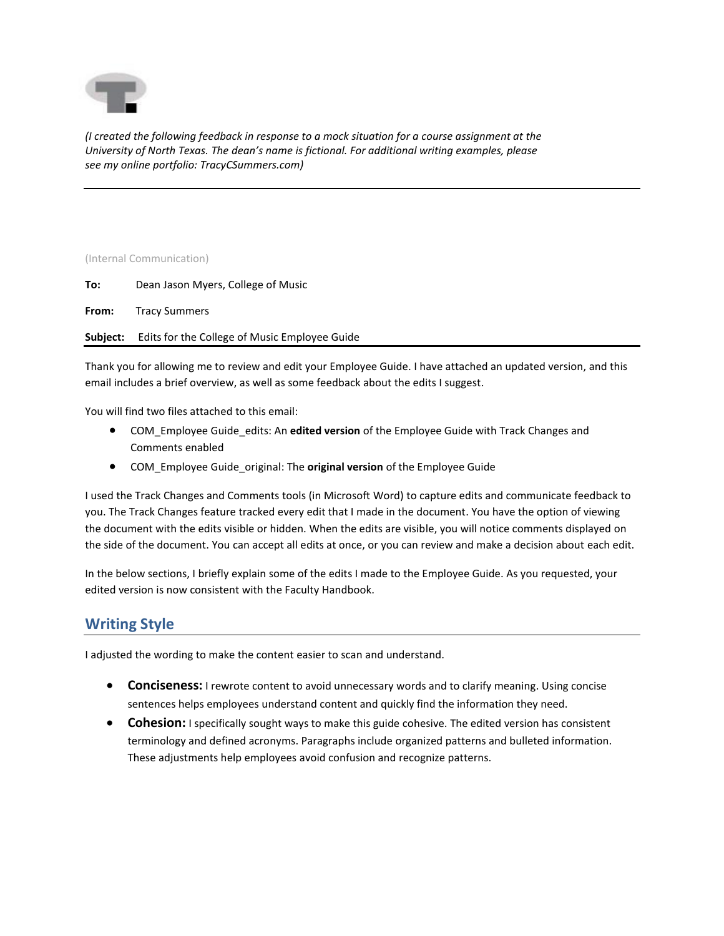

*(I created the following feedback in response to a mock situation for a course assignment at the University of North Texas. The dean's name is fictional. For additional writing examples, please see my online portfolio: TracyCSummers.com)*

## (Internal Communication)

**From:** Tracy Summers

**Subject:** Edits for the College of Music Employee Guide

Thank you for allowing me to review and edit your Employee Guide. I have attached an updated version, and this email includes a brief overview, as well as some feedback about the edits I suggest.

You will find two files attached to this email:

- COM\_Employee Guide\_edits: An **edited version** of the Employee Guide with Track Changes and Comments enabled
- COM\_Employee Guide\_original: The **original version** of the Employee Guide

I used the Track Changes and Comments tools (in Microsoft Word) to capture edits and communicate feedback to you. The Track Changes feature tracked every edit that I made in the document. You have the option of viewing the document with the edits visible or hidden. When the edits are visible, you will notice comments displayed on the side of the document. You can accept all edits at once, or you can review and make a decision about each edit.

In the below sections, I briefly explain some of the edits I made to the Employee Guide. As you requested, your edited version is now consistent with the Faculty Handbook.

## **Writing Style**

I adjusted the wording to make the content easier to scan and understand.

- **Conciseness:** I rewrote content to avoid unnecessary words and to clarify meaning. Using concise sentences helps employees understand content and quickly find the information they need.
- **Cohesion:** I specifically sought ways to make this guide cohesive. The edited version has consistent terminology and defined acronyms. Paragraphs include organized patterns and bulleted information. These adjustments help employees avoid confusion and recognize patterns.